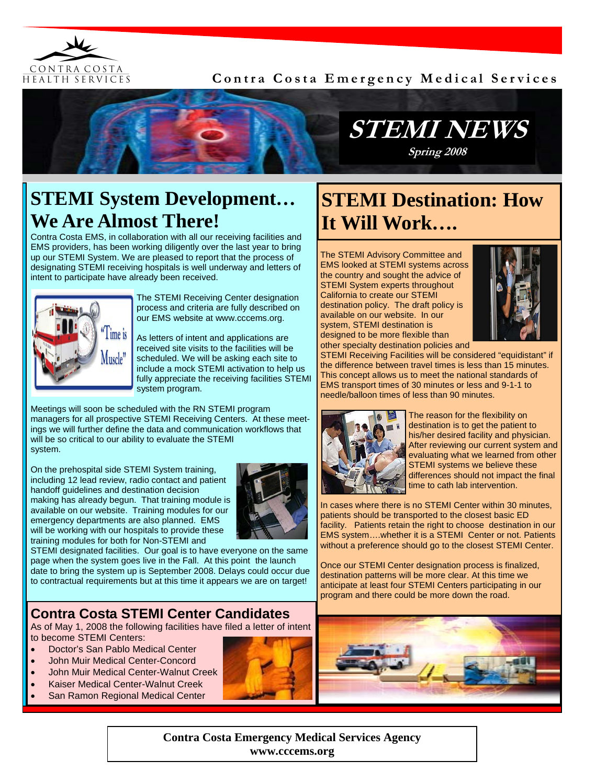

### **Contra Costa Emergency Medical Services**



## **STEMI System Development… We Are Almost There!**

Contra Costa EMS, in collaboration with all our receiving facilities and EMS providers, has been working diligently over the last year to bring up our STEMI System. We are pleased to report that the process of designating STEMI receiving hospitals is well underway and letters of intent to participate have already been received.



The STEMI Receiving Center designation process and criteria are fully described on our EMS website at www.cccems.org.

As letters of intent and applications are received site visits to the facilities will be scheduled. We will be asking each site to include a mock STEMI activation to help us fully appreciate the receiving facilities STEMI system program.

Meetings will soon be scheduled with the RN STEMI program managers for all prospective STEMI Receiving Centers. At these meetings we will further define the data and communication workflows that will be so critical to our ability to evaluate the STEMI system.

On the prehospital side STEMI System training, including 12 lead review, radio contact and patient handoff guidelines and destination decision making has already begun. That training module is available on our website. Training modules for our emergency departments are also planned. EMS will be working with our hospitals to provide these training modules for both for Non-STEMI and



STEMI designated facilities. Our goal is to have everyone on the same page when the system goes live in the Fall. At this point the launch date to bring the system up is September 2008. Delays could occur due to contractual requirements but at this time it appears we are on target!

## **Contra Costa STEMI Center Candidates**

As of May 1, 2008 the following facilities have filed a letter of intent to become STEMI Centers:

- Doctor's San Pablo Medical Center
- John Muir Medical Center-Concord
- John Muir Medical Center-Walnut Creek
- Kaiser Medical Center-Walnut Creek
- San Ramon Regional Medical Center



# **STEMI Destination: How It Will Work….**

The STEMI Advisory Committee and EMS looked at STEMI systems across the country and sought the advice of STEMI System experts throughout California to create our STEMI destination policy. The draft policy is available on our website. In our system, STEMI destination is designed to be more flexible than other specialty destination policies and



STEMI Receiving Facilities will be considered "equidistant" if the difference between travel times is less than 15 minutes. This concept allows us to meet the national standards of EMS transport times of 30 minutes or less and 9-1-1 to needle/balloon times of less than 90 minutes.



The reason for the flexibility on destination is to get the patient to his/her desired facility and physician. After reviewing our current system and evaluating what we learned from other STEMI systems we believe these differences should not impact the final time to cath lab intervention.

In cases where there is no STEMI Center within 30 minutes, patients should be transported to the closest basic ED facility. Patients retain the right to choose destination in our EMS system….whether it is a STEMI Center or not. Patients without a preference should go to the closest STEMI Center.

Once our STEMI Center designation process is finalized, destination patterns will be more clear. At this time we anticipate at least four STEMI Centers participating in our program and there could be more down the road.



**Contra Costa Emergency Medical Services Agency www.cccems.org**